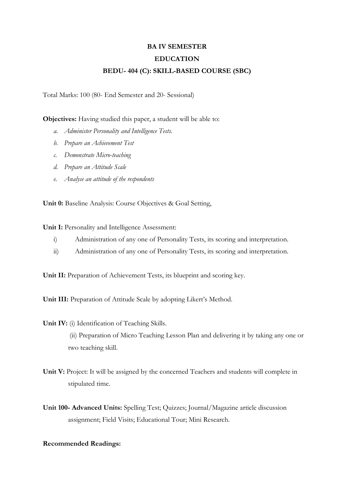## **BA IV SEMESTER EDUCATION BEDU- 404 (C): SKILL-BASED COURSE (SBC)**

Total Marks: 100 (80- End Semester and 20- Sessional)

**Objectives:** Having studied this paper, a student will be able to:

- *a. Administer Personality and Intelligence Tests.*
- *b. Prepare an Achievement Test*
- *c. Demonstrate Micro-teaching*
- *d. Prepare an Attitude Scale*
- *e. Analyse an attitude of the respondents*

**Unit 0:** Baseline Analysis: Course Objectives & Goal Setting,

**Unit I:** Personality and Intelligence Assessment:

- i) Administration of any one of Personality Tests, its scoring and interpretation.
- ii) Administration of any one of Personality Tests, its scoring and interpretation.

**Unit II:** Preparation of Achievement Tests, its blueprint and scoring key.

**Unit III:** Preparation of Attitude Scale by adopting Likert's Method.

## **Unit IV:** (i) Identification of Teaching Skills.

 (ii) Preparation of Micro Teaching Lesson Plan and delivering it by taking any one or two teaching skill.

- **Unit V:** Project: It will be assigned by the concerned Teachers and students will complete in stipulated time.
- **Unit 100- Advanced Units:** Spelling Test; Quizzes; Journal/Magazine article discussion assignment; Field Visits; Educational Tour; Mini Research.

## **Recommended Readings:**